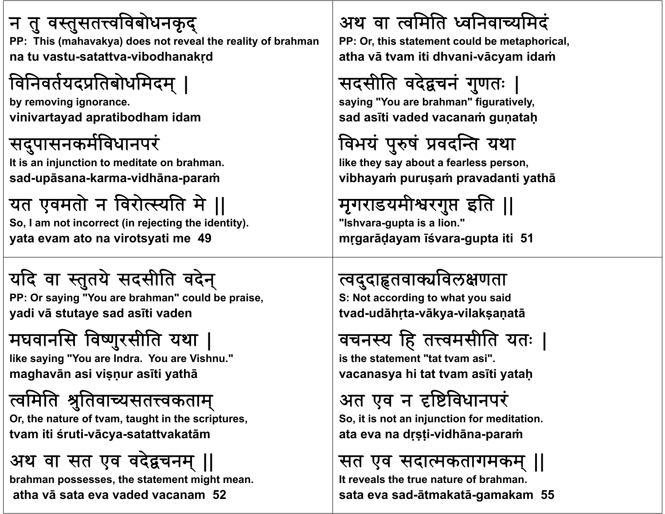#### न तु वस्तुसतत्त्वविबोधनकृद्

PP: This (mahavakya) does not reveal the reality of brahman **na tu vastu-satattva-vibodhanakṛd**

## विनिवर्तयदप्रतिबोधमिदम् ।

**b ii y removing ignorance. vinivartayad apratibodham idam**

#### सदुपासनकर्मविधानपरं

**I i i j i di It is an injunction to meditate on b h ra man. sad-upāsana-karma-vidhāna-paraṁ**

## यत एवमतो न विरोत्स्यति मे ||

**So, I am not incorrect (in rejecting the identity). yata evam ato na virotsyati me 49**

## यदि वा स्तुतये सदसीति वदेन्

**PP O i "Y PP: Or saying "You are b h ra man" ld b i " could be praise, yadi <sup>v</sup>ā stutaye sad asīti vaden**

# मघवानसि विष्णुरसीति यथा |

**lik i "Y like saying "You are I dn ra. Y Vi h " You are Vishnu." maghavān asi viṣṇur asīti yathā**

#### त्वमिति श्रुतिवाच्यसतत्त्वकताम्

**Oh f r, the nature of tvam, taughi h i t in the scriptures, tvam iti śruti-vācya-satattvakatā<sup>m</sup>**

## अथ वा सत एव वदेचनम् ||

**brahman possesses, the statement might mean. atha vā sata eva vaded vacanam 52**

### अथ वा त्वमिति ध्वनिवाच्यमिदं

PP: Or, this statement could be metaphorical, **atha vā tvam iti dhvani-vācyam idaṁ**

# सदसीति वदेद्वचनं गुणतः

**sayi "Y ngou are b h ra man" fi ti l " figuratively, sad asīti vaded vacanaṁ guṇataḥ**

# विभयं पुरुषं प्रवदन्ति यथा

**lik h b f l like they say about a fearless person, vibhayaṁ puruṣaṁ pravadanti yathā**

# मृगराडयमीश्वरगुप्त इति ||

**"Ishvara-gupta is a lion." <sup>m</sup>ṛgarāḍayam īśvara-gupta iti 51**

#### त्वदुदाहृतवाक्यविलक्षणता

**S N t di t h t id S: Not according to what you said tvad-udāhṛta-vākya-vilakṣaṇatā**

## वचनस्य हि तत्त्वमसीति यतः |

**i th t t t "t t is the statement "tattvam asi". vacanasya hi tat tvam asīti yataḥ**

## अत एव <sup>न</sup> वधानपर

**S i i i j i f di i So, it is not an injunction for meditation. ata eva na dṛṣṭi-vidhāna-paraṁ**

#### सत एव सदाकतागमकम् ||

**It reveals the true nature of brahman.sata eva sad-ātmakatā-gamakam 55**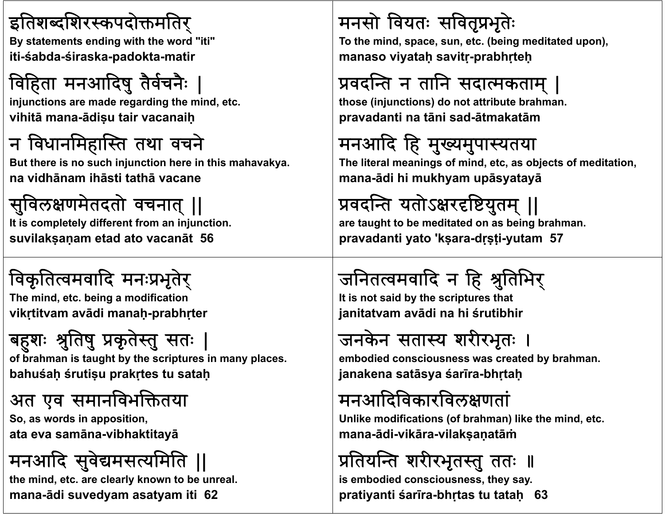#### इतिशब्दशिरस्कपदोक्तमतिर्

**B t t t di ith th d " By statements ending with the word "iti" iti-śabda-śiraska-padokta-matir**

# विहिता मनआदिषु तैर्वचनैः

**i j ti d di th i d t injunctions are made regarding the mind, etc. vihitā mana-ādiṣu tair vacanaiḥ**

#### न विधानमिहास्ति तथा वचने

But there is no such injunction here in this mahavakya. **na vidhānam ihāsti tathā vacane**

## सुविलक्षणमेतदतो वचनात् ।।

**It is completely different from an injunction. suvilakṣaṇam etad ato vacanāt 56**

## विकृतित्वमवादि मनःप्रभृतेर्

**Th i d t b i difi ti The mind, etc. being a modification vikṛtitvam avādi manaḥ-prabhṛter**

# बहशः श्रुतिषु प्रकृतेस्तु सतः

of brahman is taught by the scriptures in many places. **bahuśaḥ śrutiṣu prakṛtes tu sataḥ**

#### अत एव समानविभक्तितया

**S d i ii So, as words in apposition, ata eva samāna-vibhaktitayā**

# मनअाद सवेमसयमित ||

**the mind, etc. are clearly known to be unreal. mana-ādi suvedyam asatyam iti 62**

## मनसो वियतः सवितृप्रभृतेः

To the mind, space, sun, etc. (being meditated upon), **manaso viyataḥ savitṛ-prabhṛteḥ**

## प्रवदन्ति न तानि सदात्मकताम् |

those (injunctions) do not attribute brahman. **pravadanti na tāni sad-ātmakatā<sup>m</sup>**

# मनआदि हि मुख्यमुपास्यतया

The literal meanings of mind, etc, as objects of meditation, **mana-ādi hi mukhyam upāsyatayā**

## प्रवदन्ति यतोऽक्षरदृष्टियुतम् ||

**are taught to be meditated on as being brahman. pravadanti yato 'kṣara-dṛṣṭi-yutam 57**

# जनितत्वमवादि न हि श्रुतिभिर्

**It i t id b th i t th t is not said by the scriptures that janitatvam avādi na hi śrutibhir**

# जनकेन सतास्य शरीरभृतः

**emb di d i t d b bodied consciousness was created by b h ra man. janakena satāsya śarīra-bhṛtaḥ**

### मनअादवकारवलणता

Unlike modifications (of brahman) like the mind, etc. **mana-ādi-vikāra-vilakṣaṇatāṁ**

## प्रतियन्ति शरीरभृतस्तु ततः ॥

**is embodied consciousness, they say. pratiyanti śarīra-bhṛtas tu tataḥ 63**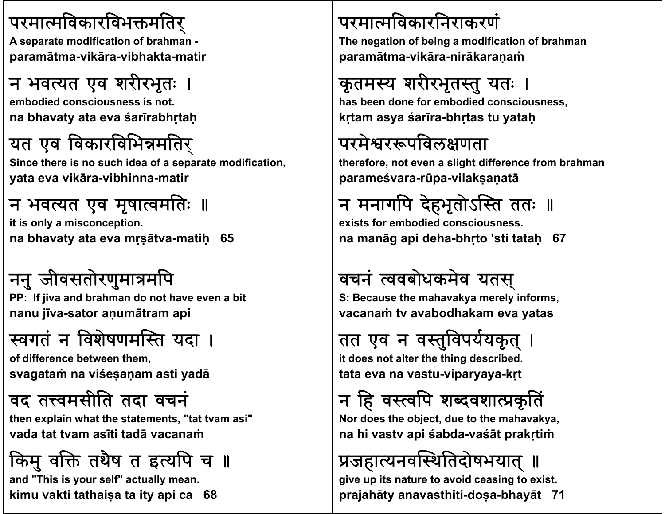#### परमात्मविकारविभक्तमतिर्

**A t difi ti f A separate modification ofb h ra man paramātma-vikāra-vibhakta-matir**

#### न भवत्यत एव शरीरभृतः ।

**emb di d i i t bodied consciousness is not. na bhavaty ata eva śarīrabhṛtaḥ**

#### यत एव विकारविभिन्नमतिर्

**Si h i h id f Since there is no such idea of a separate modifi i cat on, yata eva vikāra-vibhinna-matir**

#### न भवत्यत एव मृषात्वमतिः ॥

**it is only a misconception. na bhavaty ata eva mṛṣātva-matiḥ 65**

# ननु जीवसतोरणुमात्रमपि

**PP If : jiva and b h ra man d th o no ave even a bit nanu jīva-sator <sup>a</sup>ṇumātram api**

### स्वगतं न विशेषणमस्ति यदा ।

**of diff b t th f difference between them, svagataṁ na viśeṣaṇam asti yadā**

#### वद तवमसीित तदा वचन

**th li h h " hen explain what the statements, "tat tvam asi" vada tat tvam asīti tadā vacanaṁ**

## किमु वक्ति तथैष त इत्यपि च ॥

**and "This is your self" actually mean. kimu vakti tathaiṣa ta ity api ca 68**

#### परमावकारिनराकरण

**Th ti f b i difi ti f The negation of being a modification ofb h ra man paramātma-vikāra-nirākaraṇaṁ**

## कृतमस्य शरीरभृतस्तु यतः

**h b d f b di d i has been done for embodied consciousness, kṛtam asya śarīra-bhṛtas tu yataḥ**

#### परमेश्वररूपविलक्षणता

**th f li h diff f herefore, not even a slight difference from b h ra man parameśvara-rūpa-vilakṣaṇatā**

## न मनागपि देहभृतोऽस्ति ततः ॥

**exists for embodied consciousness.na manāg api deha-bhṛto 'sti tataḥ 67**

#### वचन ٠ <sup>.</sup> त्ववबोधकमेव यतस्

**S B th :ecause the mah k ava ya merel if yn orms, vacanaṁ tv avabodhakam eva yatas**

#### तत एव न वस्तुविपर्ययकृत ।

**it d t lt th thi d ib d does not alter the thing described. tata eva na vastu-viparyaya-kṛt**

#### न हि वस्त्वपि शब्दवशात्प्रकृतिं

**N d h bj d h Nor does the object, due to the mah k ava ya, na hi vastv api śabda-vaśāt prakṛtiṁ**

#### प्रजहात्यनवस्थितिदोषभयात् ॥

**give up its nature to avoid ceasing to exist. prajahāty anavasthiti-doṣa-bhayāt 71**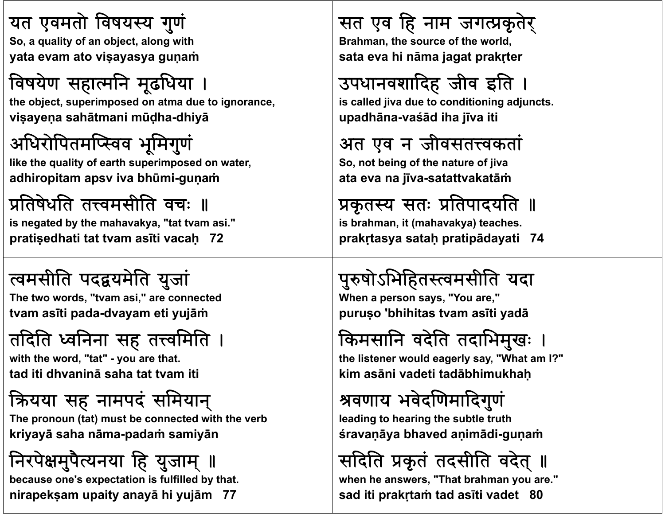#### यत एवमतो विषयस्य गुणं

**S lit f bj t l ith So, a quality of an object, along with yata evam ato viṣayasya guṇaṁ**

## विषयेण सहात्मनि मूढधिया ।

**th bj t i d the object, superimposed on atma d ti ueognorance, viṣayeṇ<sup>a</sup> sahātmani <sup>m</sup>ūḍha-dhiyā**

### अधिरोपितमप्स्विव भूमिगुणं

**lik h li f h i d like the quality of earth superimposed on water,**  $\alpha$  **adhiropitam** apsv **iva** bhūmi-gunam

# प्रतिषेधति तत्त्वमसीति वचः ॥

**is negated by the mahavakya, "tat tvam asi." pratiṣedhati tat tvam asīti vacaḥ 72**

#### वमसीित पदयमेित युजा

**The t d" wo words, "tvam asi," td are connected tvam asīti pada-dvayam eti yujāṁ**

## तदिति ध्वनिना सह तत्त्वमिति ।

**with th d "t t" ith the word, "tat" - you are th t <sup>a</sup> . tad iti dhvaninā saha tat tvam iti**

## यया सह नामपद समयान्

**Th ( ) b d i h h b The pronoun (tat) must be connected with the verb kriyayā saha <sup>n</sup>āma-padaṁ samiyā<sup>n</sup>**

# निरपेक्षमुपैत्यनया हि युजाम् ॥

**because one's expectation is fulfilled by that. nirapekṣam upaity anayā hi yujā<sup>m</sup> 77**

## सत एव हि नाम जगत्प्रकृतेर्

**B h th ra man, the source of th ld f the world, sata eva hi nāma jagat prakṛter**

## उपधानवशादिह जीव इति ।

**i ll d s calledjiva d t diti i dj t due to conditioning adjuncts. upadhāna-vaśād iha jīva iti**

## अत एव <sup>न</sup> जीवसतवकता

**S bi fh f So, not being of the nature ofjiva ata eva na jīva-satattvakatāṁ**

#### प्रकृतस्य सतः प्रतिपादयति ॥ **is brahman, it (mahavakya) teaches.**

**prakṛtasya sataḥ pratipādayati 74**

## पुरुषोऽभिहितस्त्वमसीति यदा

**When a person says, "Y " ou are," puruṣ<sup>o</sup> 'bhihitas tvam asīti yadā**

## किमसानि वदेति तदाभिमुखः

**th li t ld l "Wh t I?" the listener would eagerly say, "What am kim asāni vadeti tadābhimukhaḥ**

## वणाय भवेदणमादगुण

**l di h i h b l h leading to hearing the subtle truth śravaṇāya bhaved <sup>a</sup>ṇimādi-guṇaṁ**

## सदिति प्रकृतं तदसीति वदेत् ॥

**when he answers, "That brahman you are." sad iti prakṛtaṁ tad asīti vadet 80**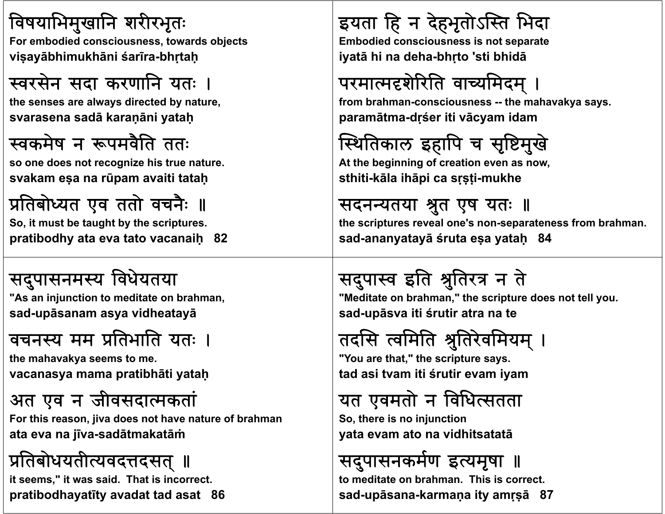#### विषयाभिमुखानि शरीरभृतः

**F b di d i t d bj t For embodied consciousness, towards objects viṣayābhimukhāni śarīra-bhṛtaḥ**

#### स्वरसेन सदा करणानि यतः ।

**th l di t d b t the senses are always directed by nature, svarasena sadā karaṇāni yataḥ**

#### वकमेष <sup>न</sup> पमवितै तत

**so one d i hi oes not recognize his true nature. svakam <sup>e</sup>ṣ<sup>a</sup> na <sup>r</sup>ūpam avaiti tataḥ**

प्रतिबोध्यत एव ततो वचनैः ॥ **So, it must be taught by the scriptures. pratibodhy ata eva tato vacanaiḥ 82**

#### सदुपासनमस्य विधेयतया

**"As an i j ti t dit t injunction to meditate on b h ra man, sad-upāsanam asya vidheatayā**

#### वचनस्य मम प्रतिभाति यतः ।

**the mah k ava ya seems to me. vacanasya mama pratibhāti yataḥ**

#### अत एव <sup>न</sup> जीवसदाकता

**F hi or t s reason, jiva dh f oes not have nature ofb h ra man ata eva na jīva-sadātmakatāṁ**

# प्रतिबोधयतीत्यवदत्तदसत् ॥

**it seems," it was said. That is incorrect. pratibodhayatīty avadat tad asat 86**

## इयता हि न देहभृतोऽस्ति भिदा

**E b di d i i t t Embodied consciousness is not separate iyatā hi na deha-bhṛto 'sti bhidā**

# परमात्मदृशेरिति वाच्यमिदम् ।

**from b h ra man-consciousness -- the mah k ava ya says. paramātma-dṛśer iti <sup>v</sup>ācyam idam**

## स्थितिकाल इहापि च सृष्टिमुखे

**Ahb i i f i At the beginning of creation even as now, sthiti-kāla ihāpi ca sṛṣṭi-mukhe**

#### सदनन्यतया श्रुत एष यतः ॥

**the scriptures reveal one's non-separateness from brahman. sad-ananyatayā śruta eṣa yataḥ 84**

# सदुपास्व इति श्रुतिरत्र न ते

"Meditate on brahman," the scripture does not tell you. **sad-upāsva iti śrutir atra na te**

### तदसि त्वमिति श्रुतिरेवमियम् ।

**"Y th t " th i t "You are that," the scripture says. tad asi tvam iti śrutir evam iyam**

## यत एवमतो न विधित्सतता

**S h i ij i So, there is no injunction yata evam ato na vidhitsatatā**

#### सदुपासनकर्मण इत्यमृषा ॥

**to meditate on brahman. This is correct. sad-upāsana-karmaṇa ity amṛṣā 87**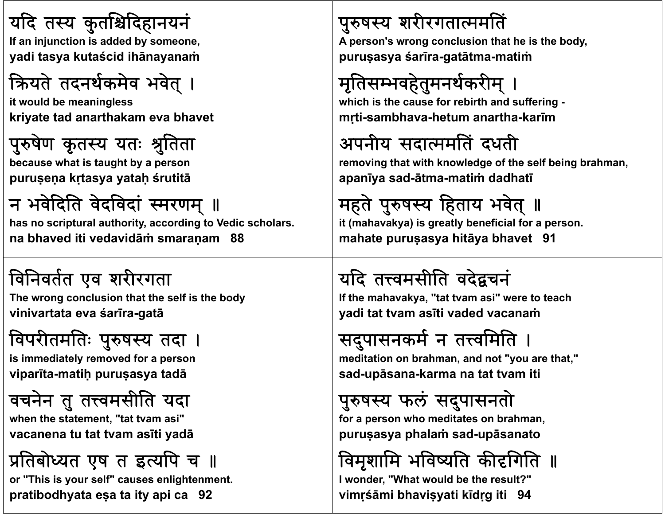#### यदि तस्य कुर्ताश्चेदिहानयनं

**If i j ti If an injunction i dd d b is added by someone, yadi tasya kutaścid ihānayanaṁ**

## क्रियते तदनर्थकमेव भवेत् ।

**it ld b i l it would be meaningless kriyate tad anarthakam eva bhavet**



**b h i hb because what is taught by a person puruṣeṇ<sup>a</sup> kṛtasya yataḥ śrutitā**

# न भवेदिति वेदविदां स्मरणम् ॥

**has no scriptural authority, according to Vedic scholars. na bhaved iti vedavidāṁ smaraṇam 88**

# विनवतत एव शररगता

The wrong conclusion that the self is the body **vinivartata eva śarīra-gatā**

# विपरीतमतिः पुरुषस्य तदा ।

**i i di t l d f is immediately removed for a person viparīta-matiḥ puruṣasya tadā**

# वचनेन तु तत्त्वमसीति यदा

**whh " en the statement, "tat tvam asi" vacanena tu tat tvam asīti yadā**

# प्रतिबोध्यत एष त इत्यपि च ॥

**or "This is your self" causes enlightenment. pratibodhyata eṣa ta ity api ca 92**

### पुरुषस्य शरीरगतात्ममतिं

**A ' li person's wrong conclusion th t h i th b d that he is the body, puruṣasya śarīra-gatātma-matiṁ**

# मृतिसम्भवहेतुमनर्थकरीम् ।

**whi h i th f bi th d ff i hich is the cause for rebirth and suffering <sup>m</sup>ṛti-sambhava-hetum anartha-karī<sup>m</sup>**

## अपनीय सदामित दधती

removing that with knowledge of the self being brahman, **apanīya sad-ātma-matiṁ dadhatī**

# महते पुरुषस्य हिताय भवेत् ॥

**it (mahavakya) is greatly beneficial for a person. mahate puruṣasya hitāya bhavet 91**

# यदि तत्त्वमसीति वदेद्वचनं

**If the mah k ava ya, "t t <sup>a</sup> tvam asi" tt h were to teach yadi tat tvam asīti vaded vacanaṁ**

# सदुपासनकर्म न तत्त्वमिति ।

**medit ti a on on b h ra man, and t " th t " d not "you are that," sad-upāsana-karma na tat tvam iti**

#### पुरुषस्य फलं <sup>,</sup> सदुपासनतो

**f h di or a person who meditates on b h ra man, puruṣasya phalaṁ sad-upāsanato**

## विमृशामि भविष्यति कीदगिति ॥

**I wonder, "What would be the result?" vimṛśāmi bhaviṣyati kīdṛg iti 94**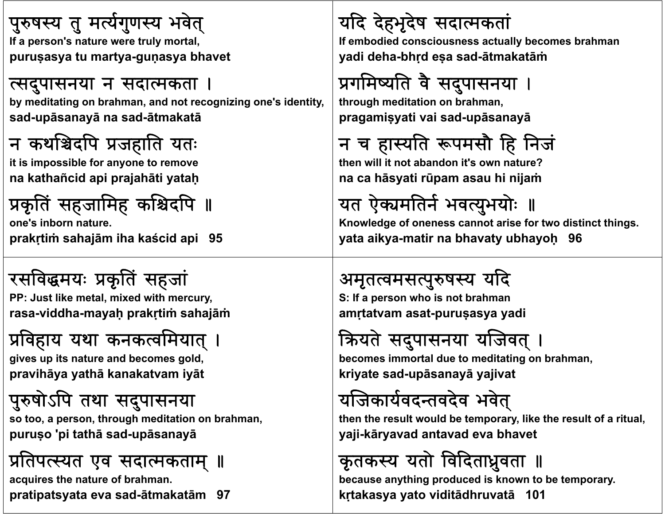# पुरुषस्य तु मर्त्यगुणस्य भवेत्

**If ' a person's nat t l tl ture were truly mortal, puruṣasya tu martya-guṇasya bhavet**

#### त्सदुपासनया न सदात्मकता ।

by meditating on brahman, and not recognizing one's identity, **sad-upāsanayā na sad-ātmakatā**

#### न कथश्चिदपि प्रजहाति यतः

**i i i ibl f it is impossible for anyone to remove na kathañcid api prajahāti yataḥ**

# प्रकृतिं सहजामिह कश्चिदपि ॥

**one's inborn nature.prakṛtiṁ sahajām iha kaścid api 95**

#### रसविद्धमयः प्रकृतिं सहजां **PP J t lik t l i d ith PP: Just like metal, mixed with mercury, rasa-viddha-mayaḥ prakṛtiṁ sahajāṁ**

# प्रविहाय यथा कनकत्वमियात् ।

**gi it t d b ld ives up its nature and becomes gold, pravihāya yathā kanakatvam iyāt**

## पुरुषोऽपि तथा सदुपासनया

**so too, a person, th h di i hrough meditation on b h ra man, puruṣ<sup>o</sup> 'pi tathā sad-upāsanayā**

# प्रतिपत्स्यत एव सदात्मकताम् ॥

**acquires the nature of brahman. pratipatsyata eva sad-ātmakatā<sup>m</sup> 97**

# यद देहभृदेष सदाकता

**If b di d If embodiedconsci t ll b iousness actually becomes b h ra man yadi deha-bhṛd <sup>e</sup>ṣ<sup>a</sup> sad-ātmakatāṁ**

# प्रगमिष्यति वै सदुपासनया ।

**th h dit ti through meditation on b h ra man, pragamiṣyati vai sad-upāsanayā**

# न च हास्यति रूपमसौ हि निजं

**th ill i b d i ' ? hen will it not abandon it's own nature? na ca hāsyati rūpam asau hi nijaṁ**

# यत ऐक्यमतिर्न भवत्युभयोः ॥

**Knowledge of oneness cannot arise for two distinct things. yata aikya-matir na bhavaty ubhayoḥ 96**

# अमृतत्वमसत्पुरुषस्य यदि

**S**: If a person who is not brahman **amṛtatvam asat-puruṣasya yadi**

# क्रियते सदुपासनया यजिवत् ।

**b i t l d t dit ti becomes immortal due to meditating on b h ra man, kriyate sad-upāsanayā yajivat**

## यजिकार्यवदन्तवदेव भवेत्

then the result would be temporary, like the result of a ritual, **yaji-kāryavad antavad eva bhavet**

# कृतकस्य यतो विदिताध्रुवता ॥

**because anything produced is known to be temporary. kṛtakasya yato viditādhruvatā 101**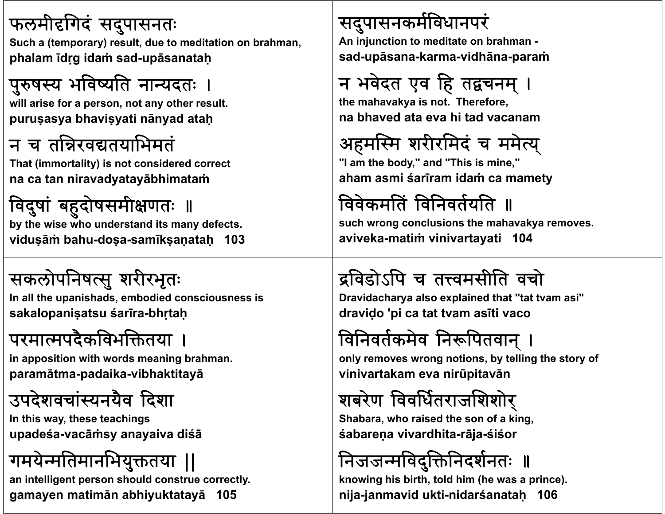#### फलमीदगिदं सदुपासनतः

**Such a (temporary) result, due to meditation on brahman, phalam īdṛg idaṁ sad-upāsanataḥ**

## पुरुषस्य भविष्यति नान्यदतः ।

**will arise for a person, not any other result. puruṣasya bhaviṣyati <sup>n</sup>ānyad ataḥ**

#### <sup>न</sup> <sup>च</sup> तरवतयाभमत

**That (immortality) is not considered correct na ca tan niravadyatayābhimataṁ**

#### विदुषां बहुदोषसमीक्षणतः ॥ **by the wise who understand its many defects. viduṣāṁ bahu-doṣa-samīkṣaṇataḥ 103**

#### सकलोपनिषत्सु शरीरभृतः

**I ll th In all the upanihd <sup>s</sup> <sup>a</sup> s, emb di d i i bodied consciousness is sakalopaniṣatsu śarīra-bhṛtaḥ**

## परमात्मपदैकविभक्तितया ।

**i iti ith d i in apposition with words meaning b h ra man. paramātma-padaika-vibhaktitayā**

### उपदेशवचांस्यनयैव दिशा

**I hi n t s way, th hi ese teachings upadeśa-vacāṁsy anayaiva diśā**

## गमयेन्मतिमानभियुक्ततया ॥

**an intelligent person should construe correctly. gamayen matimān abhiyuktatayā 105**

#### सदुपासनकर्मविधानपरं

**A i j ti t An injunction to medit t <sup>a</sup> e on b h ra man sad-upāsana-karma-vidhāna-paraṁ**

# न भवेदत एव हि तद्वचनम् ।

**the mah k ava ya i t Th f is not. Therefore, na bhaved ata eva hi tad vacanam**

## अहमस्मि शरीरमिदं च ममेत्य्

**"I h b d " d "Thi i i " "I am the body," and "This is mine," aham asmi śarīram idaṁ ca mamety**

## विवेकमतिं विनिवर्तयति ॥

**such wrong conclusions the mahavakya removes. aviveka-matiṁ vinivartayati 104**

## द्रविडोऽपि च तत्त्वमसीति वचो

Dravidacharya also explained that "tat tvam asi" **draviḍ<sup>o</sup> 'pi ca tat tvam asīti vaco**

## विनिवर्तकमेव निरूपितवान् ।

**onl ti b t lli th t f ly removes wrong notions, by telling the story of vinivartakam eva nirūpitavā<sup>n</sup>**

## शबरेण ववधतराजशशारे्

**Sh ba ara, wh i d h f ki ho raised the son of a king, śabareṇ<sup>a</sup> vivardhita-rāja-śiśor**

### निजजन्मविदुक्तिनिदर्शनतः ॥

**knowing his birth, told him (he was a prince). nija-janmavid ukti-nidarśanataḥ 106**